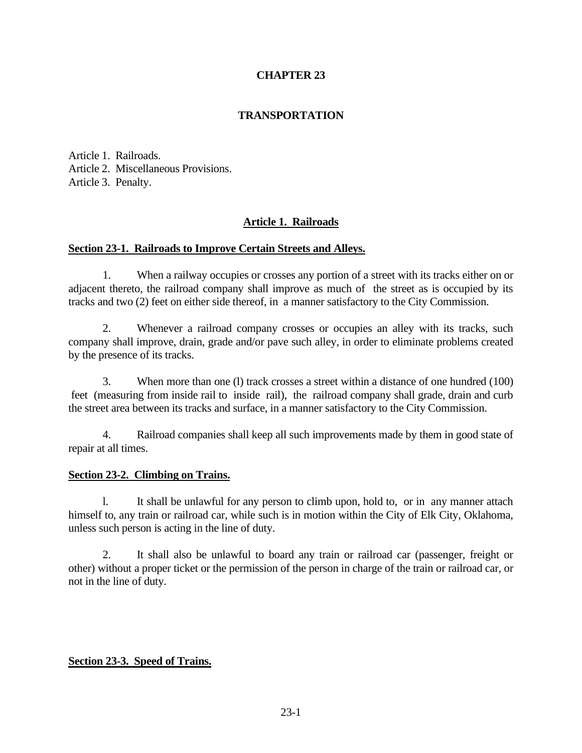# **CHAPTER 23**

# **TRANSPORTATION**

Article 1. Railroads. Article 2. Miscellaneous Provisions. Article 3. Penalty.

# **Article 1. Railroads**

## **Section 23-1. Railroads to Improve Certain Streets and Alleys.**

1. When a railway occupies or crosses any portion of a street with its tracks either on or adjacent thereto, the railroad company shall improve as much of the street as is occupied by its tracks and two (2) feet on either side thereof, in a manner satisfactory to the City Commission.

2. Whenever a railroad company crosses or occupies an alley with its tracks, such company shall improve, drain, grade and/or pave such alley, in order to eliminate problems created by the presence of its tracks.

3. When more than one (l) track crosses a street within a distance of one hundred (100) feet (measuring from inside rail to inside rail), the railroad company shall grade, drain and curb the street area between its tracks and surface, in a manner satisfactory to the City Commission.

4. Railroad companies shall keep all such improvements made by them in good state of repair at all times.

## **Section 23-2. Climbing on Trains.**

l. It shall be unlawful for any person to climb upon, hold to, or in any manner attach himself to, any train or railroad car, while such is in motion within the City of Elk City, Oklahoma, unless such person is acting in the line of duty.

2. It shall also be unlawful to board any train or railroad car (passenger, freight or other) without a proper ticket or the permission of the person in charge of the train or railroad car, or not in the line of duty.

## **Section 23-3. Speed of Trains.**